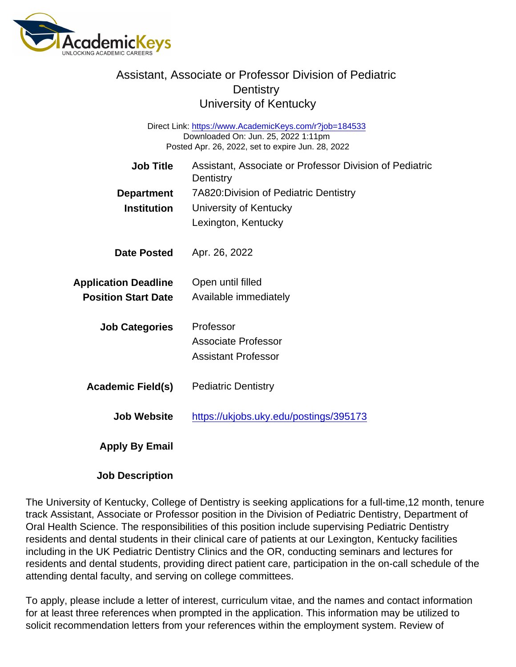## Assistant, Associate or Professor Division of Pediatric **Dentistry** University of Kentucky

Direct Link: <https://www.AcademicKeys.com/r?job=184533> Downloaded On: Jun. 25, 2022 1:11pm Posted Apr. 26, 2022, set to expire Jun. 28, 2022

| <b>Job Title</b>            | Assistant, Associate or Professor Division of Pediatric<br>Dentistry |
|-----------------------------|----------------------------------------------------------------------|
| Department                  | 7A820: Division of Pediatric Dentistry                               |
| Institution                 | University of Kentucky                                               |
|                             | Lexington, Kentucky                                                  |
| Date Posted                 | Apr. 26, 2022                                                        |
| <b>Application Deadline</b> | Open until filled                                                    |
| <b>Position Start Date</b>  | Available immediately                                                |
| <b>Job Categories</b>       | Professor                                                            |
|                             | <b>Associate Professor</b>                                           |
|                             | <b>Assistant Professor</b>                                           |
| Academic Field(s)           | <b>Pediatric Dentistry</b>                                           |
| Job Website                 | https://ukjobs.uky.edu/postings/395173                               |
| Apply By Email              |                                                                      |

Job Description

The University of Kentucky, College of Dentistry is seeking applications for a full-time,12 month, tenure track Assistant, Associate or Professor position in the Division of Pediatric Dentistry, Department of Oral Health Science. The responsibilities of this position include supervising Pediatric Dentistry residents and dental students in their clinical care of patients at our Lexington, Kentucky facilities including in the UK Pediatric Dentistry Clinics and the OR, conducting seminars and lectures for residents and dental students, providing direct patient care, participation in the on-call schedule of the attending dental faculty, and serving on college committees.

To apply, please include a letter of interest, curriculum vitae, and the names and contact information for at least three references when prompted in the application. This information may be utilized to solicit recommendation letters from your references within the employment system. Review of